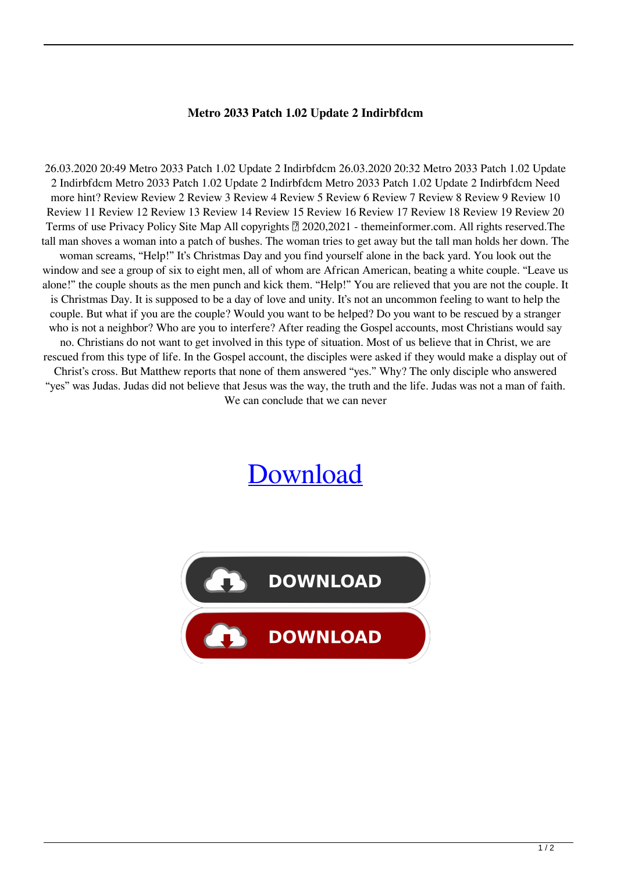## **Metro 2033 Patch 1.02 Update 2 Indirbfdcm**

26.03.2020 20:49 Metro 2033 Patch 1.02 Update 2 Indirbfdcm 26.03.2020 20:32 Metro 2033 Patch 1.02 Update 2 Indirbfdcm Metro 2033 Patch 1.02 Update 2 Indirbfdcm Metro 2033 Patch 1.02 Update 2 Indirbfdcm Need more hint? Review Review 2 Review 3 Review 4 Review 5 Review 6 Review 7 Review 8 Review 9 Review 10 Review 11 Review 12 Review 13 Review 14 Review 15 Review 16 Review 17 Review 18 Review 19 Review 20 Terms of use Privacy Policy Site Map All copyrights  $\sqrt{2}$  2020,2021 - themeinformer.com. All rights reserved. The tall man shoves a woman into a patch of bushes. The woman tries to get away but the tall man holds her down. The woman screams, "Help!" It's Christmas Day and you find yourself alone in the back yard. You look out the window and see a group of six to eight men, all of whom are African American, beating a white couple. "Leave us alone!" the couple shouts as the men punch and kick them. "Help!" You are relieved that you are not the couple. It is Christmas Day. It is supposed to be a day of love and unity. It's not an uncommon feeling to want to help the couple. But what if you are the couple? Would you want to be helped? Do you want to be rescued by a stranger who is not a neighbor? Who are you to interfere? After reading the Gospel accounts, most Christians would say no. Christians do not want to get involved in this type of situation. Most of us believe that in Christ, we are rescued from this type of life. In the Gospel account, the disciples were asked if they would make a display out of Christ's cross. But Matthew reports that none of them answered "yes." Why? The only disciple who answered "yes" was Judas. Judas did not believe that Jesus was the way, the truth and the life. Judas was not a man of faith. We can conclude that we can never

## [Download](http://evacdir.com/alicante/vehemently.cameraman.dishman.lignin.TWV0cm8gMjAzMyBwYXRjaCAxLjAyIHVwZGF0ZSAyIGluZGlyYmZkY20TWV/jidoka/ZG93bmxvYWR8dE41TW0xMVlYeDhNVFkxTWpjME1EZzJObng4TWpVM05IeDhLRTBwSUhKbFlXUXRZbXh2WnlCYlJtRnpkQ0JIUlU1ZA/rori)